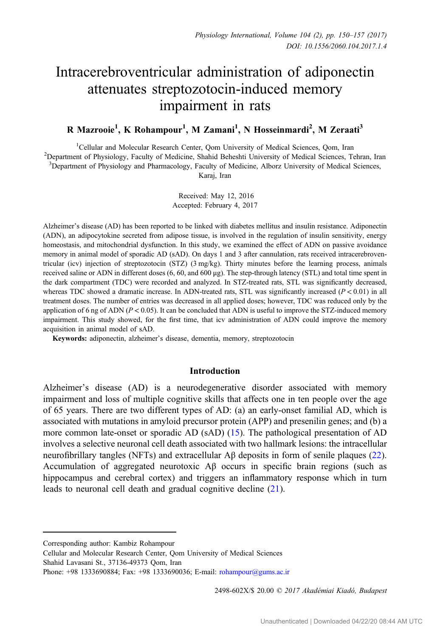# Intracerebroventricular administration of adiponectin attenuates streptozotocin-induced memory impairment in rats

# R Mazrooie<sup>1</sup>, K Rohampour<sup>1</sup>, M Zamani<sup>1</sup>, N Hosseinmardi<sup>2</sup>, M Zeraati<sup>3</sup>

<sup>1</sup>Cellular and Molecular Research Center, Oom University of Medical Sciences, Oom, Iran Cellular and Molecular Research Center, Qom University of Medical Sciences, Qom, Iran <sup>2</sup> Department of Physiology, Faculty of Medicine, Shahid Beheshti University of Medical Sciences, Tehran, Iran <sup>3</sup>Department of Physiology and Pharmacology, Faculty of Medicine, Alborz University of Medical Sciences, Karaj, Iran

> Received: May 12, 2016 Accepted: February 4, 2017

Alzheimer's disease (AD) has been reported to be linked with diabetes mellitus and insulin resistance. Adiponectin (ADN), an adipocytokine secreted from adipose tissue, is involved in the regulation of insulin sensitivity, energy homeostasis, and mitochondrial dysfunction. In this study, we examined the effect of ADN on passive avoidance memory in animal model of sporadic AD (sAD). On days 1 and 3 after cannulation, rats received intracerebroventricular (icv) injection of streptozotocin (STZ) (3 mg/kg). Thirty minutes before the learning process, animals received saline or ADN in different doses (6, 60, and 600 μg). The step-through latency (STL) and total time spent in the dark compartment (TDC) were recorded and analyzed. In STZ-treated rats, STL was significantly decreased, whereas TDC showed a dramatic increase. In ADN-treated rats, STL was significantly increased  $(P < 0.01)$  in all treatment doses. The number of entries was decreased in all applied doses; however, TDC was reduced only by the application of 6 ng of ADN ( $P < 0.05$ ). It can be concluded that ADN is useful to improve the STZ-induced memory impairment. This study showed, for the first time, that icv administration of ADN could improve the memory acquisition in animal model of sAD.

Keywords: adiponectin, alzheimer's disease, dementia, memory, streptozotocin

#### Introduction

Alzheimer's disease (AD) is a neurodegenerative disorder associated with memory impairment and loss of multiple cognitive skills that affects one in ten people over the age of 65 years. There are two different types of AD: (a) an early-onset familial AD, which is associated with mutations in amyloid precursor protein (APP) and presenilin genes; and (b) a more common late-onset or sporadic AD (sAD) ([15\)](#page-7-0). The pathological presentation of AD involves a selective neuronal cell death associated with two hallmark lesions: the intracellular neurofibrillary tangles (NFTs) and extracellular Aβ deposits in form of senile plaques [\(22](#page-7-0)). Accumulation of aggregated neurotoxic Aβ occurs in specific brain regions (such as hippocampus and cerebral cortex) and triggers an inflammatory response which in turn leads to neuronal cell death and gradual cognitive decline ([21\)](#page-7-0).

2498-602X/\$ 20.00 C 2017 Akadémiai Kiadó, Budapest

Corresponding author: Kambiz Rohampour

Cellular and Molecular Research Center, Qom University of Medical Sciences

Shahid Lavasani St., 37136-49373 Qom, Iran

Phone: +98 1333690884; Fax: +98 1333690036; E-mail: [rohampour@gums.ac.ir](mailto:rohampour@gums.ac.ir)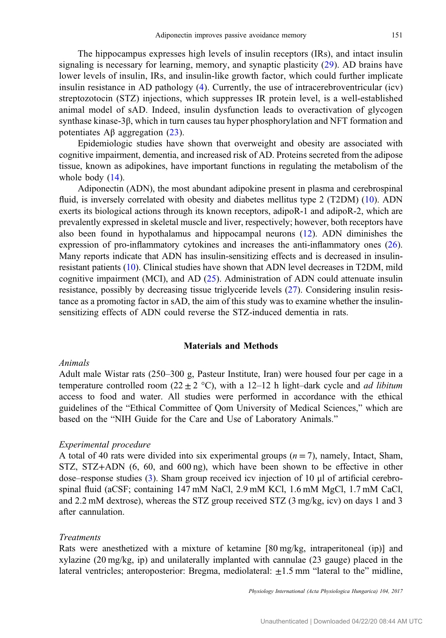The hippocampus expresses high levels of insulin receptors (IRs), and intact insulin signaling is necessary for learning, memory, and synaptic plasticity [\(29\)](#page-7-0). AD brains have lower levels of insulin, IRs, and insulin-like growth factor, which could further implicate insulin resistance in AD pathology  $(4)$  $(4)$ . Currently, the use of intracerebroventricular (icv) streptozotocin (STZ) injections, which suppresses IR protein level, is a well-established animal model of sAD. Indeed, insulin dysfunction leads to overactivation of glycogen synthase kinase-3β, which in turn causes tau hyper phosphorylation and NFT formation and potentiates  $\text{A}$ β aggregation ([23](#page-7-0)).

Epidemiologic studies have shown that overweight and obesity are associated with cognitive impairment, dementia, and increased risk of AD. Proteins secreted from the adipose tissue, known as adipokines, have important functions in regulating the metabolism of the whole body  $(14)$  $(14)$ .

Adiponectin (ADN), the most abundant adipokine present in plasma and cerebrospinal fluid, is inversely correlated with obesity and diabetes mellitus type 2 (T2DM) [\(10](#page-6-0)). ADN exerts its biological actions through its known receptors, adipoR-1 and adipoR-2, which are prevalently expressed in skeletal muscle and liver, respectively; however, both receptors have also been found in hypothalamus and hippocampal neurons [\(12](#page-6-0)). ADN diminishes the expression of pro-inflammatory cytokines and increases the anti-inflammatory ones [\(26](#page-7-0)). Many reports indicate that ADN has insulin-sensitizing effects and is decreased in insulinresistant patients ([10\)](#page-6-0). Clinical studies have shown that ADN level decreases in T2DM, mild cognitive impairment (MCI), and AD ([25\)](#page-7-0). Administration of ADN could attenuate insulin resistance, possibly by decreasing tissue triglyceride levels [\(27](#page-7-0)). Considering insulin resistance as a promoting factor in sAD, the aim of this study was to examine whether the insulinsensitizing effects of ADN could reverse the STZ-induced dementia in rats.

#### Materials and Methods

#### Animals

Adult male Wistar rats (250–300 g, Pasteur Institute, Iran) were housed four per cage in a temperature controlled room (22  $\pm$  2 °C), with a 12–12 h light–dark cycle and *ad libitum* access to food and water. All studies were performed in accordance with the ethical guidelines of the "Ethical Committee of Qom University of Medical Sciences," which are based on the "NIH Guide for the Care and Use of Laboratory Animals."

#### Experimental procedure

A total of 40 rats were divided into six experimental groups  $(n = 7)$ , namely, Intact, Sham, STZ, STZ+ADN (6, 60, and 600 ng), which have been shown to be effective in other dose–response studies [\(3](#page-6-0)). Sham group received icv injection of 10 μl of artificial cerebrospinal fluid (aCSF; containing 147 mM NaCl, 2.9 mM KCl, 1.6 mM MgCl, 1.7 mM CaCl, and 2.2 mM dextrose), whereas the STZ group received STZ (3 mg/kg, icv) on days 1 and 3 after cannulation.

#### Treatments

Rats were anesthetized with a mixture of ketamine [80 mg/kg, intraperitoneal (ip)] and xylazine (20 mg/kg, ip) and unilaterally implanted with cannulae (23 gauge) placed in the lateral ventricles; anteroposterior: Bregma, mediolateral: ±1.5 mm "lateral to the" midline,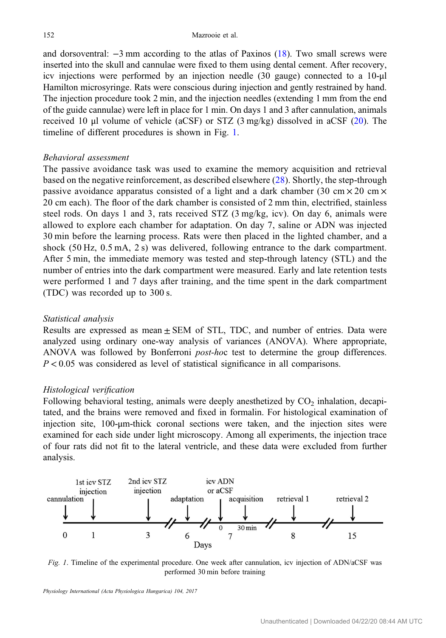and dorsoventral: −3 mm according to the atlas of Paxinos [\(18](#page-7-0)). Two small screws were inserted into the skull and cannulae were fixed to them using dental cement. After recovery, icv injections were performed by an injection needle (30 gauge) connected to a 10-μl Hamilton microsyringe. Rats were conscious during injection and gently restrained by hand. The injection procedure took 2 min, and the injection needles (extending 1 mm from the end of the guide cannulae) were left in place for 1 min. On days 1 and 3 after cannulation, animals received 10 μl volume of vehicle (aCSF) or STZ (3 mg/kg) dissolved in aCSF ([20](#page-7-0)). The timeline of different procedures is shown in Fig. 1.

#### Behavioral assessment

The passive avoidance task was used to examine the memory acquisition and retrieval based on the negative reinforcement, as described elsewhere ([28](#page-7-0)). Shortly, the step-through passive avoidance apparatus consisted of a light and a dark chamber (30 cm  $\times$  20 cm  $\times$ 20 cm each). The floor of the dark chamber is consisted of 2 mm thin, electrified, stainless steel rods. On days 1 and 3, rats received  $STZ$  (3 mg/kg, icv). On day 6, animals were allowed to explore each chamber for adaptation. On day 7, saline or ADN was injected 30 min before the learning process. Rats were then placed in the lighted chamber, and a shock (50 Hz, 0.5 mA, 2 s) was delivered, following entrance to the dark compartment. After 5 min, the immediate memory was tested and step-through latency (STL) and the number of entries into the dark compartment were measured. Early and late retention tests were performed 1 and 7 days after training, and the time spent in the dark compartment (TDC) was recorded up to 300 s.

#### Statistical analysis

Results are expressed as mean  $\pm$  SEM of STL, TDC, and number of entries. Data were analyzed using ordinary one-way analysis of variances (ANOVA). Where appropriate, ANOVA was followed by Bonferroni post-hoc test to determine the group differences.  $P < 0.05$  was considered as level of statistical significance in all comparisons.

#### Histological verification

Following behavioral testing, animals were deeply anesthetized by  $CO<sub>2</sub>$  inhalation, decapitated, and the brains were removed and fixed in formalin. For histological examination of injection site, 100-μm-thick coronal sections were taken, and the injection sites were examined for each side under light microscopy. Among all experiments, the injection trace of four rats did not fit to the lateral ventricle, and these data were excluded from further analysis.



Fig. 1. Timeline of the experimental procedure. One week after cannulation, icv injection of ADN/aCSF was performed 30 min before training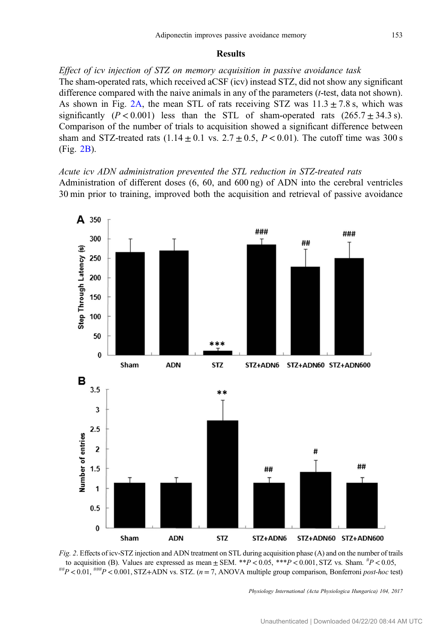#### Results

<span id="page-3-0"></span>Effect of icv injection of STZ on memory acquisition in passive avoidance task The sham-operated rats, which received aCSF (icv) instead STZ, did not show any significant difference compared with the naive animals in any of the parameters  $(t$ -test, data not shown). As shown in Fig. 2A, the mean STL of rats receiving STZ was  $11.3 \pm 7.8$  s, which was significantly  $(P < 0.001)$  less than the STL of sham-operated rats  $(265.7 \pm 34.3 \text{ s})$ . Comparison of the number of trials to acquisition showed a significant difference between sham and STZ-treated rats  $(1.14 \pm 0.1 \text{ vs. } 2.7 \pm 0.5, P < 0.01)$ . The cutoff time was 300 s (Fig. 2B).

Acute icv ADN administration prevented the STL reduction in STZ-treated rats Administration of different doses (6, 60, and 600 ng) of ADN into the cerebral ventricles 30 min prior to training, improved both the acquisition and retrieval of passive avoidance



Fig. 2. Effects of icv-STZ injection and ADN treatment on STL during acquisition phase (A) and on the number of trails to acquisition (B). Values are expressed as mean  $\pm$  SEM. \*\*P < 0.05, \*\*\*P < 0.001, STZ vs. Sham.  ${}^{#}P$  < 0.05,  $^{***}P$  < 0.01,  $^{***}P$  < 0.001, STZ+ADN vs. STZ. (n = 7, ANOVA multiple group comparison, Bonferroni *post-hoc* test)

Physiology International (Acta Physiologica Hungarica) 104, 2017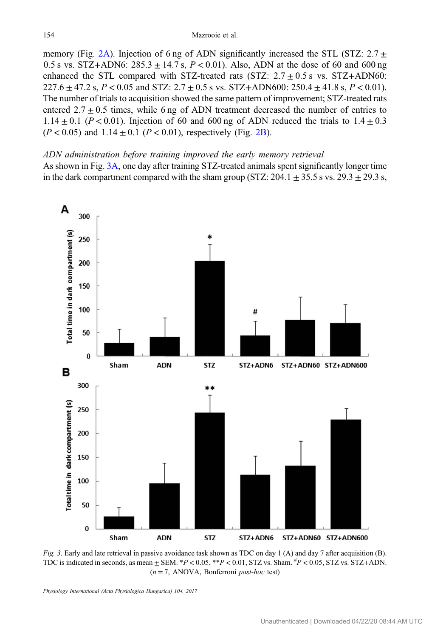<span id="page-4-0"></span>memory (Fig. [2A](#page-3-0)). Injection of 6 ng of ADN significantly increased the STL (STZ:  $2.7 \pm$ 0.5 s vs. STZ+ADN6:  $285.3 \pm 14.7$  s,  $P < 0.01$ ). Also, ADN at the dose of 60 and 600 ng enhanced the STL compared with STZ-treated rats (STZ:  $2.7 \pm 0.5$  s vs. STZ+ADN60:  $227.6 \pm 47.2$  s,  $P < 0.05$  and STZ:  $2.7 \pm 0.5$  s vs. STZ+ADN600:  $250.4 \pm 41.8$  s,  $P < 0.01$ ). The number of trials to acquisition showed the same pattern of improvement; STZ-treated rats entered  $2.7 \pm 0.5$  times, while 6 ng of ADN treatment decreased the number of entries to 1.14  $\pm$  0.1 (P < 0.01). Injection of 60 and 600 ng of ADN reduced the trials to 1.4  $\pm$  0.3  $(P < 0.05)$  and  $1.14 \pm 0.1$   $(P < 0.01)$ , respectively (Fig. [2B\)](#page-3-0).

## ADN administration before training improved the early memory retrieval

As shown in Fig. 3A, one day after training STZ-treated animals spent significantly longer time in the dark compartment compared with the sham group (STZ:  $204.1 \pm 35.5$  s vs.  $29.3 \pm 29.3$  s,



Fig. 3. Early and late retrieval in passive avoidance task shown as TDC on day 1 (A) and day 7 after acquisition (B). TDC is indicated in seconds, as mean  $\pm$  SEM.  $*P < 0.05$ ,  $*P < 0.01$ , STZ vs. Sham.  ${}^{#}P < 0.05$ , STZ vs. STZ+ADN.  $(n = 7, ANOVA, Bonferroni post-hoc test)$ 

Physiology International (Acta Physiologica Hungarica) 104, 2017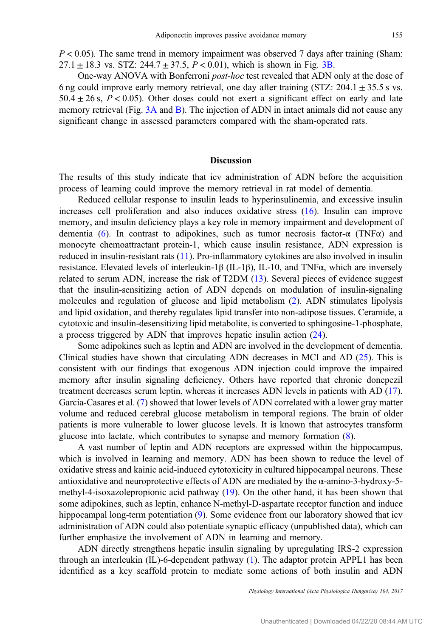$P < 0.05$ ). The same trend in memory impairment was observed 7 days after training (Sham: 27.1  $\pm$  18.3 vs. STZ: 244.7  $\pm$  37.5,  $P < 0.01$ ), which is shown in Fig. [3B](#page-4-0).

One-way ANOVA with Bonferroni post-hoc test revealed that ADN only at the dose of 6 ng could improve early memory retrieval, one day after training (STZ:  $204.1 \pm 35.5$  s vs.  $50.4 \pm 26$  s,  $P < 0.05$ ). Other doses could not exert a significant effect on early and late memory retrieval (Fig. [3A](#page-4-0) and [B\)](#page-4-0). The injection of ADN in intact animals did not cause any significant change in assessed parameters compared with the sham-operated rats.

# Discussion

The results of this study indicate that icv administration of ADN before the acquisition process of learning could improve the memory retrieval in rat model of dementia.

Reduced cellular response to insulin leads to hyperinsulinemia, and excessive insulin increases cell proliferation and also induces oxidative stress [\(16](#page-7-0)). Insulin can improve memory, and insulin deficiency plays a key role in memory impairment and development of dementia ([6\)](#page-6-0). In contrast to adipokines, such as tumor necrosis factor- $\alpha$  (TNF $\alpha$ ) and monocyte chemoattractant protein-1, which cause insulin resistance, ADN expression is reduced in insulin-resistant rats ([11\)](#page-6-0). Pro-inflammatory cytokines are also involved in insulin resistance. Elevated levels of interleukin-1β (IL-1β), IL-10, and TNFα, which are inversely related to serum ADN, increase the risk of T2DM [\(13](#page-7-0)). Several pieces of evidence suggest that the insulin-sensitizing action of ADN depends on modulation of insulin-signaling molecules and regulation of glucose and lipid metabolism ([2\)](#page-6-0). ADN stimulates lipolysis and lipid oxidation, and thereby regulates lipid transfer into non-adipose tissues. Ceramide, a cytotoxic and insulin-desensitizing lipid metabolite, is converted to sphingosine-1-phosphate, a process triggered by ADN that improves hepatic insulin action [\(24](#page-7-0)).

Some adipokines such as leptin and ADN are involved in the development of dementia. Clinical studies have shown that circulating ADN decreases in MCI and AD  $(25)$  $(25)$ . This is consistent with our findings that exogenous ADN injection could improve the impaired memory after insulin signaling deficiency. Others have reported that chronic donepezil treatment decreases serum leptin, whereas it increases ADN levels in patients with AD [\(17](#page-7-0)). García-Casares et al. [\(7](#page-6-0)) showed that lower levels of ADN correlated with a lower gray matter volume and reduced cerebral glucose metabolism in temporal regions. The brain of older patients is more vulnerable to lower glucose levels. It is known that astrocytes transform glucose into lactate, which contributes to synapse and memory formation [\(8](#page-6-0)).

A vast number of leptin and ADN receptors are expressed within the hippocampus, which is involved in learning and memory. ADN has been shown to reduce the level of oxidative stress and kainic acid-induced cytotoxicity in cultured hippocampal neurons. These antioxidative and neuroprotective effects of ADN are mediated by the  $\alpha$ -amino-3-hydroxy-5methyl-4-isoxazolepropionic acid pathway [\(19\)](#page-7-0). On the other hand, it has been shown that some adipokines, such as leptin, enhance N-methyl-D-aspartate receptor function and induce hippocampal long-term potentiation [\(9](#page-6-0)). Some evidence from our laboratory showed that icv administration of ADN could also potentiate synaptic efficacy (unpublished data), which can further emphasize the involvement of ADN in learning and memory.

ADN directly strengthens hepatic insulin signaling by upregulating IRS-2 expression through an interleukin (IL)-6-dependent pathway [\(1](#page-6-0)). The adaptor protein APPL1 has been identified as a key scaffold protein to mediate some actions of both insulin and ADN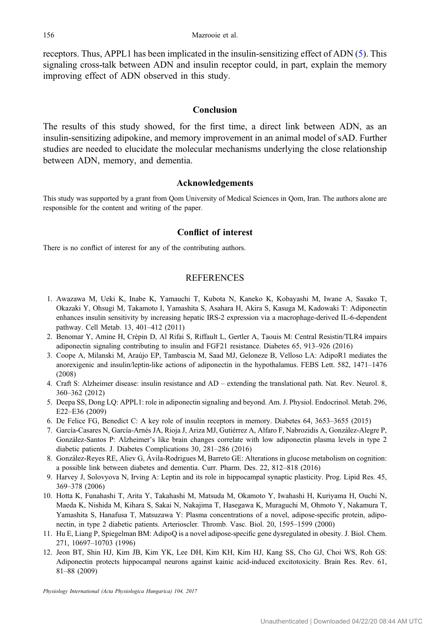<span id="page-6-0"></span>receptors. Thus, APPL1 has been implicated in the insulin-sensitizing effect of ADN (5). This signaling cross-talk between ADN and insulin receptor could, in part, explain the memory improving effect of ADN observed in this study.

# Conclusion

The results of this study showed, for the first time, a direct link between ADN, as an insulin-sensitizing adipokine, and memory improvement in an animal model of sAD. Further studies are needed to elucidate the molecular mechanisms underlying the close relationship between ADN, memory, and dementia.

## Acknowledgements

This study was supported by a grant from Qom University of Medical Sciences in Qom, Iran. The authors alone are responsible for the content and writing of the paper.

#### Conflict of interest

There is no conflict of interest for any of the contributing authors.

# REFERENCES

- 1. Awazawa M, Ueki K, Inabe K, Yamauchi T, Kubota N, Kaneko K, Kobayashi M, Iwane A, Sasako T, Okazaki Y, Ohsugi M, Takamoto I, Yamashita S, Asahara H, Akira S, Kasuga M, Kadowaki T: Adiponectin enhances insulin sensitivity by increasing hepatic IRS-2 expression via a macrophage-derived IL-6-dependent pathway. Cell Metab. 13, 401–412 (2011)
- 2. Benomar Y, Amine H, Crépin D, Al Rifai S, Riffault L, Gertler A, Taouis M: Central Resistin/TLR4 impairs adiponectin signaling contributing to insulin and FGF21 resistance. Diabetes 65, 913–926 (2016)
- 3. Coope A, Milanski M, Araújo EP, Tambascia M, Saad MJ, Geloneze B, Velloso LA: AdipoR1 mediates the anorexigenic and insulin/leptin-like actions of adiponectin in the hypothalamus. FEBS Lett. 582, 1471–1476 (2008)
- 4. Craft S: Alzheimer disease: insulin resistance and AD extending the translational path. Nat. Rev. Neurol. 8, 360–362 (2012)
- 5. Deepa SS, Dong LQ: APPL1: role in adiponectin signaling and beyond. Am. J. Physiol. Endocrinol. Metab. 296, E22–E36 (2009)
- 6. De Felice FG, Benedict C: A key role of insulin receptors in memory. Diabetes 64, 3653–3655 (2015)
- 7. García-Casares N, García-Arnés JA, Rioja J, Ariza MJ, Gutiérrez A, Alfaro F, Nabrozidis A, González-Alegre P, González-Santos P: Alzheimer's like brain changes correlate with low adiponectin plasma levels in type 2 diabetic patients. J. Diabetes Complications 30, 281–286 (2016)
- 8. González-Reyes RE, Aliev G, Ávila-Rodrigues M, Barreto GE: Alterations in glucose metabolism on cognition: a possible link between diabetes and dementia. Curr. Pharm. Des. 22, 812–818 (2016)
- 9. Harvey J, Solovyova N, Irving A: Leptin and its role in hippocampal synaptic plasticity. Prog. Lipid Res. 45, 369–378 (2006)
- 10. Hotta K, Funahashi T, Arita Y, Takahashi M, Matsuda M, Okamoto Y, Iwahashi H, Kuriyama H, Ouchi N, Maeda K, Nishida M, Kihara S, Sakai N, Nakajima T, Hasegawa K, Muraguchi M, Ohmoto Y, Nakamura T, Yamashita S, Hanafusa T, Matsuzawa Y: Plasma concentrations of a novel, adipose-specific protein, adiponectin, in type 2 diabetic patients. Arterioscler. Thromb. Vasc. Biol. 20, 1595–1599 (2000)
- 11. Hu E, Liang P, Spiegelman BM: AdipoQ is a novel adipose-specific gene dysregulated in obesity. J. Biol. Chem. 271, 10697–10703 (1996)
- 12. Jeon BT, Shin HJ, Kim JB, Kim YK, Lee DH, Kim KH, Kim HJ, Kang SS, Cho GJ, Choi WS, Roh GS: Adiponectin protects hippocampal neurons against kainic acid-induced excitotoxicity. Brain Res. Rev. 61, 81–88 (2009)